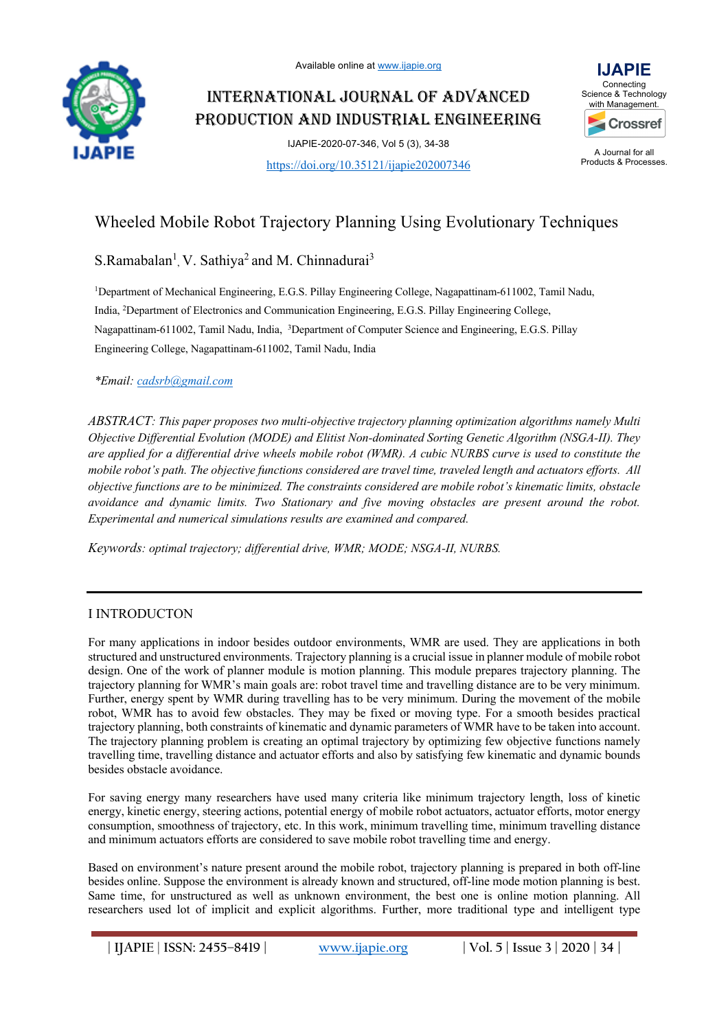

# INTERNATIONAL JOURNAL OF ADVANCED PRODUCTION AND INDUSTRIAL ENGINEERING







A Journal for all Products & Processes.

# Wheeled Mobile Robot Trajectory Planning Using Evolutionary Techniques

S.Ramabalan<sup>1</sup>, V. Sathiya<sup>2</sup> and M. Chinnadurai<sup>3</sup>

<sup>1</sup>Department of Mechanical Engineering, E.G.S. Pillay Engineering College, Nagapattinam-611002, Tamil Nadu, India, 2 Department of Electronics and Communication Engineering, E.G.S. Pillay Engineering College, Nagapattinam-611002, Tamil Nadu, India, <sup>3</sup>Department of Computer Science and Engineering, E.G.S. Pillay Engineering College, Nagapattinam-611002, Tamil Nadu, India

*\*Email: cadsrb@gmail.com*

*ABSTRACT: This paper proposes two multi-objective trajectory planning optimization algorithms namely Multi Objective Differential Evolution (MODE) and Elitist Non-dominated Sorting Genetic Algorithm (NSGA-II). They are applied for a differential drive wheels mobile robot (WMR). A cubic NURBS curve is used to constitute the mobile robot's path. The objective functions considered are travel time, traveled length and actuators efforts. All objective functions are to be minimized. The constraints considered are mobile robot's kinematic limits, obstacle avoidance and dynamic limits. Two Stationary and five moving obstacles are present around the robot. Experimental and numerical simulations results are examined and compared.* 

*Keywords: optimal trajectory; differential drive, WMR; MODE; NSGA-II, NURBS.*

# I INTRODUCTON

For many applications in indoor besides outdoor environments, WMR are used. They are applications in both structured and unstructured environments. Trajectory planning is a crucial issue in planner module of mobile robot design. One of the work of planner module is motion planning. This module prepares trajectory planning. The trajectory planning for WMR's main goals are: robot travel time and travelling distance are to be very minimum. Further, energy spent by WMR during travelling has to be very minimum. During the movement of the mobile robot, WMR has to avoid few obstacles. They may be fixed or moving type. For a smooth besides practical trajectory planning, both constraints of kinematic and dynamic parameters of WMR have to be taken into account. The trajectory planning problem is creating an optimal trajectory by optimizing few objective functions namely travelling time, travelling distance and actuator efforts and also by satisfying few kinematic and dynamic bounds besides obstacle avoidance.

For saving energy many researchers have used many criteria like minimum trajectory length, loss of kinetic energy, kinetic energy, steering actions, potential energy of mobile robot actuators, actuator efforts, motor energy consumption, smoothness of trajectory, etc. In this work, minimum travelling time, minimum travelling distance and minimum actuators efforts are considered to save mobile robot travelling time and energy.

Based on environment's nature present around the mobile robot, trajectory planning is prepared in both off-line besides online. Suppose the environment is already known and structured, off-line mode motion planning is best. Same time, for unstructured as well as unknown environment, the best one is online motion planning. All researchers used lot of implicit and explicit algorithms. Further, more traditional type and intelligent type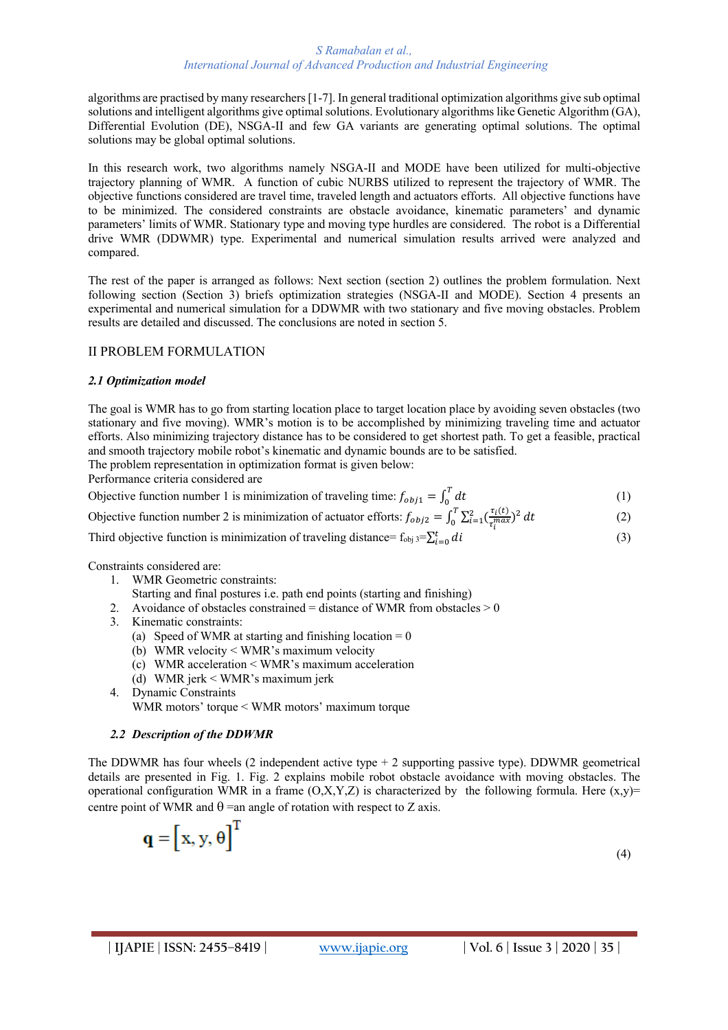algorithms are practised by many researchers [1-7]. In general traditional optimization algorithms give sub optimal solutions and intelligent algorithms give optimal solutions. Evolutionary algorithms like Genetic Algorithm (GA), Differential Evolution (DE), NSGA-II and few GA variants are generating optimal solutions. The optimal solutions may be global optimal solutions.

In this research work, two algorithms namely NSGA-II and MODE have been utilized for multi-objective trajectory planning of WMR. A function of cubic NURBS utilized to represent the trajectory of WMR. The objective functions considered are travel time, traveled length and actuators efforts. All objective functions have to be minimized. The considered constraints are obstacle avoidance, kinematic parameters' and dynamic parameters' limits of WMR. Stationary type and moving type hurdles are considered. The robot is a Differential drive WMR (DDWMR) type. Experimental and numerical simulation results arrived were analyzed and compared.

The rest of the paper is arranged as follows: Next section (section 2) outlines the problem formulation. Next following section (Section 3) briefs optimization strategies (NSGA-II and MODE). Section 4 presents an experimental and numerical simulation for a DDWMR with two stationary and five moving obstacles. Problem results are detailed and discussed. The conclusions are noted in section 5.

# II PROBLEM FORMULATION

## *2.1 Optimization model*

The goal is WMR has to go from starting location place to target location place by avoiding seven obstacles (two stationary and five moving). WMR's motion is to be accomplished by minimizing traveling time and actuator efforts. Also minimizing trajectory distance has to be considered to get shortest path. To get a feasible, practical and smooth trajectory mobile robot's kinematic and dynamic bounds are to be satisfied.

The problem representation in optimization format is given below:

Performance criteria considered are

Objective function number 1 is minimization of traveling time:  $f_{obj1} = \int_0^T dt$  $\int_{0}^{1} dt$  (1)

Objective function number 2 is minimization of actuator efforts:  $f_{obj2} = \int_0^T \sum_{i=1}^2 (\frac{\tau_i(t)}{\tau_{max}})$  $\int_0^T \sum_{i=1}^2 \left(\frac{\tau_i(t)}{\tau_i^{max}}\right)^2 dt$  (2)

Third objective function is minimization of traveling distance=  $f_{obj}$  3= $\sum_{i=0}^{t} di$  (3)

Constraints considered are:

- 1. WMR Geometric constraints:
- Starting and final postures i.e. path end points (starting and finishing)
- 2. Avoidance of obstacles constrained = distance of WMR from obstacles  $> 0$
- 3. Kinematic constraints:
	- (a) Speed of WMR at starting and finishing location  $= 0$
	- (b) WMR velocity < WMR's maximum velocity
	- (c) WMR acceleration < WMR's maximum acceleration
	- (d) WMR jerk < WMR's maximum jerk
- 4. Dynamic Constraints

q

WMR motors' torque < WMR motors' maximum torque

## *2.2 Description of the DDWMR*

The DDWMR has four wheels  $(2 \text{ independent active type} + 2 \text{ supporting passive type})$ . DDWMR geometrical details are presented in Fig. 1. Fig. 2 explains mobile robot obstacle avoidance with moving obstacles. The operational configuration WMR in a frame  $(O, X, Y, Z)$  is characterized by the following formula. Here  $(x,y)$ = centre point of WMR and  $\theta$  =an angle of rotation with respect to Z axis.

$$
= \left[ x, y, \theta \right]^T
$$
 (4)

(k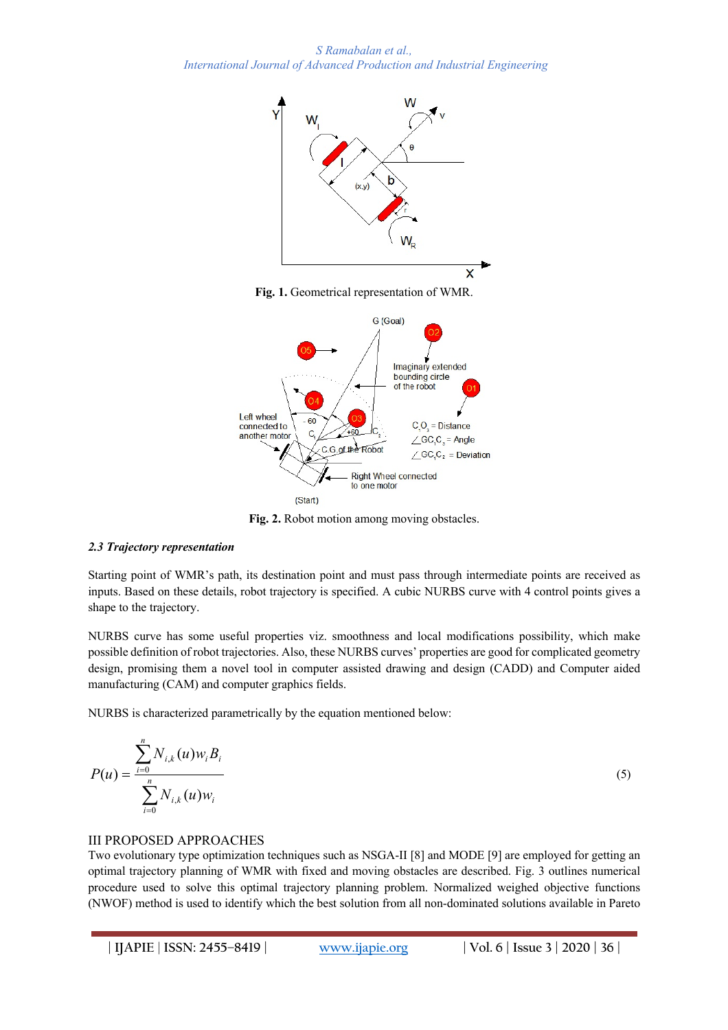*S Ramabalan et al., International Journal of Advanced Production and Industrial Engineering*







**Fig. 2.** Robot motion among moving obstacles.

#### *2.3 Trajectory representation*

Starting point of WMR's path, its destination point and must pass through intermediate points are received as inputs. Based on these details, robot trajectory is specified. A cubic NURBS curve with 4 control points gives a shape to the trajectory.

NURBS curve has some useful properties viz. smoothness and local modifications possibility, which make possible definition of robot trajectories. Also, these NURBS curves' properties are good for complicated geometry design, promising them a novel tool in computer assisted drawing and design (CADD) and Computer aided manufacturing (CAM) and computer graphics fields.

NURBS is characterized parametrically by the equation mentioned below:

$$
P(u) = \frac{\sum_{i=0}^{n} N_{i,k}(u) w_i B_i}{\sum_{i=0}^{n} N_{i,k}(u) w_i}
$$
 (5)

#### III PROPOSED APPROACHES

Two evolutionary type optimization techniques such as NSGA-II [8] and MODE [9] are employed for getting an optimal trajectory planning of WMR with fixed and moving obstacles are described. Fig. 3 outlines numerical procedure used to solve this optimal trajectory planning problem. Normalized weighed objective functions (NWOF) method is used to identify which the best solution from all non-dominated solutions available in Pareto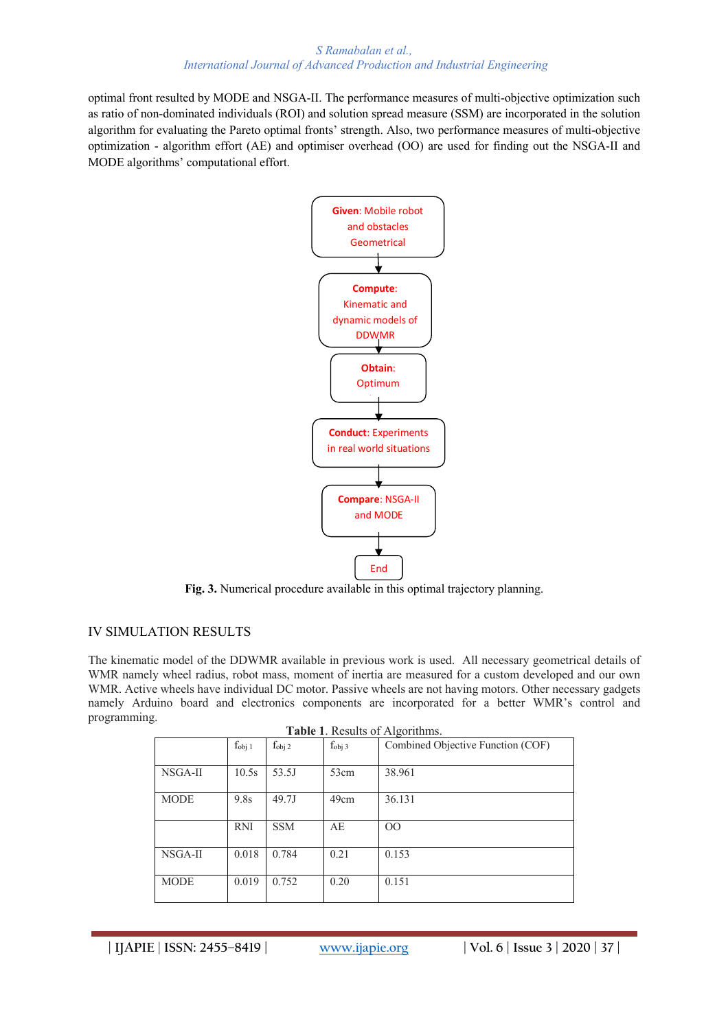#### *S Ramabalan et al., International Journal of Advanced Production and Industrial Engineering*

optimal front resulted by MODE and NSGA-II. The performance measures of multi-objective optimization such as ratio of non-dominated individuals (ROI) and solution spread measure (SSM) are incorporated in the solution algorithm for evaluating the Pareto optimal fronts' strength. Also, two performance measures of multi-objective optimization - algorithm effort (AE) and optimiser overhead (OO) are used for finding out the NSGA-II and MODE algorithms' computational effort.



**Fig. 3.** Numerical procedure available in this optimal trajectory planning.

## IV SIMULATION RESULTS

The kinematic model of the DDWMR available in previous work is used. All necessary geometrical details of WMR namely wheel radius, robot mass, moment of inertia are measured for a custom developed and our own WMR. Active wheels have individual DC motor. Passive wheels are not having motors. Other necessary gadgets namely Arduino board and electronics components are incorporated for a better WMR's control and programming.

|             | $f_{obj 1}$ | $f_{obj 2}$ | $f_{obj}$ 3 | Combined Objective Function (COF) |
|-------------|-------------|-------------|-------------|-----------------------------------|
| NSGA-II     | 10.5s       | 53.5J       | 53cm        | 38.961                            |
| <b>MODE</b> | 9.8s        | 49.7J       | 49cm        | 36.131                            |
|             | <b>RNI</b>  | <b>SSM</b>  | AE          | OO                                |
| NSGA-II     | 0.018       | 0.784       | 0.21        | 0.153                             |
| <b>MODE</b> | 0.019       | 0.752       | 0.20        | 0.151                             |

|  |  |  | Table 1. Results of Algorithms. |
|--|--|--|---------------------------------|
|--|--|--|---------------------------------|